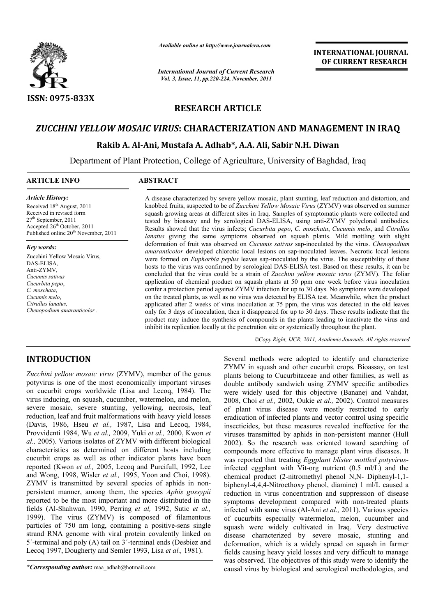

*Available online at http://www.journalcra.com*

*International Journal of Current Research Vol. 3, Issue, 11, pp.220-224, November, 2011*

**INTERNATIONAL JOURNAL OF CURRENT RESEARCH** 

# **RESEARCH ARTICLE**

# *ZUCCHINI YELLOW MOSAIC VIRUS***: CHARACTERIZATION AND MANAGEMENT IN IRAQ**

## **Rakib A. Al-Ani, Mustafa A. Adhab\*, A.A. Ali, Sabir N.H. Diwan**

Department of Plant Protection, College of Agriculture, University of Baghdad, Iraq

#### **ARTICLE INFO ABSTRACT**

*Article History:* Received 18<sup>th</sup> August, 2011 Received in revised form  $27<sup>th</sup>$  September, 2011 Accepted 26th October, 2011 Published online 20<sup>th</sup> November, 2011

#### *Key words:*

Zucchini Yellow Mosaic Virus, DAS-ELISA, Anti-ZYMV, *Cucumis sativus Cucurbita pepo*, *C. moschata*, *Cucumis melo*, *Citrullus lanatus, Chenopodium amaranticolor* .

A disease characterized by severe yellow mosaic, plant stunting, leaf reduction and distortion, and knobbed fruits, suspected to be of *Zucchini Yellow Mosaic Virus* (ZYMV) was observed on summer squash growing areas at different sites in Iraq. Samples of symptomatic plants were collected and tested by bioassay and by serological DAS-ELISA, using anti-ZYMV polyclonal antibodies. Results showed that the virus infects; *Cucurbita pepo*, *C. moschata*, *Cucumis melo*, and *Citrullus lanatus* giving the same symptoms observed on squash plants. Mild mottling with slight deformation of fruit was observed on *Cucumis sativus* sap-inoculated by the virus. *Chenopodium amaranticolor* developed chlorotic local lesions on sap-inoculated leaves. Necrotic local lesions were formed on *Euphorbia peplus* leaves sap-inoculated by the virus. The susceptibility of these hosts to the virus was confirmed by serological DAS-ELISA test. Based on these results, it can be concluded that the virus could be a strain of *Zucchini yellow mosaic virus* (ZYMV). The foliar application of chemical product on squash plants at 50 ppm one week before virus inoculation confer a protection period against ZYMV infection for up to 30 days. No symptoms were developed on the treated plants, as well as no virus was detected by ELISA test. Meanwhile, when the product applicated after 2 weeks of virus inoculation at 75 ppm, the virus was detected in the old leaves only for 3 days of inoculation, then it disappeared for up to 30 days. These results indicate that the product may induce the synthesis of compounds in the plants leading to inactivate the virus and inhibit its replication locally at the penetration site or systemically throughout the plant.

*©Copy Right, IJCR, 2011, Academic Journals. All rights reserved*

# **INTRODUCTION**

*Zucchini yellow mosaic virus* (ZYMV), member of the genus potyvirus is one of the most economically important viruses on cucurbit crops worldwide (Lisa and Lecoq, 1984). The virus inducing, on squash, cucumber, watermelon, and melon, severe mosaic, severe stunting, yellowing, necrosis, leaf reduction, leaf and fruit malformations with heavy yield losses (Davis, 1986, Hseu *et al.,* 1987, Lisa and Lecoq, 1984, Provvidenti 1984, Wu *et al.,* 2009, Yuki *et al.,* 2000, Kwon *et al.,* 2005). Various isolates of ZYMV with different biological characteristics as determined on different hosts including cucurbit crops as well as other indicator plants have been reported (Kwon *et al.,* 2005, Lecoq and Purcifull, 1992, Lee and Wong, 1998, Wisler *et al.,* 1995, Yoon and Choi, 1998). ZYMV is transmitted by several species of aphids in nonpersistent manner, among them, the species *Aphis gossypii* reported to be the most important and more distributed in the fields (Al-Shahwan, 1990, Perring *et al,* 1992, Sutic *et al.,* 1999). The virus (ZYMV) is composed of filamentous particles of 750 nm long, containing a positive-sens single strand RNA genome with viral protein covalently linked on 5΄-terminal and poly (A) tail on 3΄-terminal ends (Desbiez and Lecoq 1997, Dougherty and Semler 1993, Lisa *et al.,* 1981).

Several methods were adopted to identify and characterize ZYMV in squash and other cucurbit crops. Bioassay, on test plants belong to Cucurbitaceae and other families, as well as double antibody sandwich using ZYMV specific antibodies were widely used for this objective (Bananej and Vahdat, 2008, Choi *et al.,* 2002, Oukie *et al.,* 2002). Control measures of plant virus disease were mostly restricted to early eradication of infected plants and vector control using specific insecticides, but these measures revealed ineffective for the viruses transmitted by aphids in non-persistent manner (Hull 2002). So the research was oriented toward searching of compounds more effective to manage plant virus diseases. It was reported that treating *Eggplant blister mottled potyvirus*infected eggplant with Vit-org nutrient (0.5 ml/L) and the chemical product (2-nitromethyl phenol N,N- Diphenyl-1,1 biphenyl-4,4,4-Nitroethoxy phenol, diamine) 1 ml/L caused a reduction in virus concentration and suppression of disease symptoms development compared with non-treated plants infected with same virus (Al-Ani *et al.,* 2011). Various species of cucurbits especially watermelon, melon, cucumber and squash were widely cultivated in Iraq. Very destructive disease characterized by severe mosaic, stunting and deformation, which is a widely spread on squash in farmer fields causing heavy yield losses and very difficult to manage was observed. The objectives of this study were to identify the causal virus by biological and serological methodologies, and

*<sup>\*</sup>Corresponding author:* maa\_adhab@hotmail.com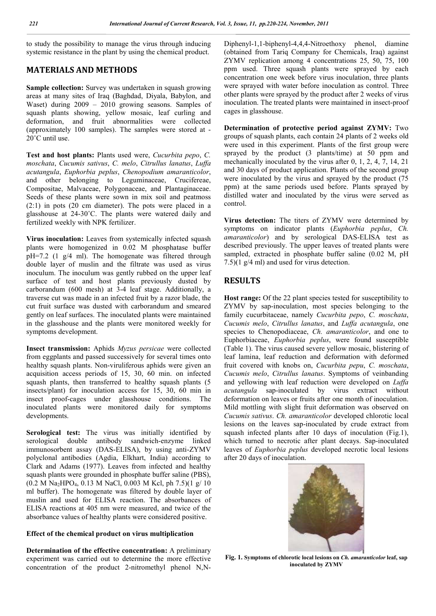to study the possibility to manage the virus through inducing systemic resistance in the plant by using the chemical product.

# **MATERIALS AND METHODS**

**Sample collection:** Survey was undertaken in squash growing areas at many sites of Iraq (Baghdad, Diyala, Babylon, and Waset) during 2009 – 2010 growing seasons. Samples of squash plants showing, yellow mosaic, leaf curling and deformation, and fruit abnormalities were collected (approximately 100 samples). The samples were stored at - 20°C until use.

**Test and host plants:** Plants used were, *Cucurbita pepo*, *C. moschata*, *Cucumis sativus*, *C. melo*, *Citrullus lanatus*, *Luffa acutangula*, *Euphorbia peplus*, *Chenopodium amaranticolor*, and other belonging to Leguminaceae, Crucifereae, Compositae, Malvaceae, Polygonaceae, and Plantaginaceae. Seeds of these plants were sown in mix soil and peatmoss (2:1) in pots (20 cm diameter). The pots were placed in a glasshouse at 24-30˚C. The plants were watered daily and fertilized weekly with NPK fertilizer.

**Virus inoculation:** Leaves from systemically infected squash plants were homogenized in 0.02 M phosphatase buffer pH=7.2 (1 g/4 ml). The homogenate was filtered through double layer of muslin and the filtrate was used as virus inoculum. The inoculum was gently rubbed on the upper leaf surface of test and host plants previously dusted by carborandum (600 mesh) at 3-4 leaf stage. Additionally, a traverse cut was made in an infected fruit by a razor blade, the cut fruit surface was dusted with carborandum and smeared gently on leaf surfaces. The inoculated plants were maintained in the glasshouse and the plants were monitored weekly for symptoms development.

**Insect transmission:** Aphids *Myzus persicae* were collected from eggplants and passed successively for several times onto healthy squash plants. Non-viruliferous aphids were given an acquisition access periods of 15, 30, 60 min. on infected squash plants, then transferred to healthy squash plants (5) insects/plant) for inoculation access for 15, 30, 60 min in insect proof-cages under glasshouse conditions. The inoculated plants were monitored daily for symptoms developments.

**Serological test:** The virus was initially identified by serological double antibody sandwich-enzyme linked immunosorbent assay (DAS-ELISA), by using anti-ZYMV polyclonal antibodies (Agdia, Elkhart, India) according to Clark and Adams (1977). Leaves from infected and healthy squash plants were grounded in phosphate buffer saline (PBS),  $(0.2 M Na<sub>2</sub>HPO<sub>4</sub>, 0.13 M NaCl, 0.003 M Kcl, ph 7.5)(1 g/ 10)$ ml buffer). The homogenate was filtered by double layer of muslin and used for ELISA reaction. The absorbances of ELISA reactions at 405 nm were measured, and twice of the absorbance values of healthy plants were considered positive.

### **Effect of the chemical product on virus multiplication**

**Determination of the effective concentration:** A preliminary experiment was carried out to determine the more effective concentration of the product 2-nitromethyl phenol N,N-

Diphenyl-1,1-biphenyl-4,4,4-Nitroethoxy phenol, diamine (obtained from Tariq Company for Chemicals, Iraq) against ZYMV replication among 4 concentrations 25, 50, 75, 100 ppm used. Three squash plants were sprayed by each concentration one week before virus inoculation, three plants were sprayed with water before inoculation as control. Three other plants were sprayed by the product after 2 weeks of virus inoculation. The treated plants were maintained in insect-proof cages in glasshouse.

**Determination of protective period against ZYMV:** Two groups of squash plants, each contain 24 plants of 2 weeks old were used in this experiment. Plants of the first group were sprayed by the product (3 plants/time) at 50 ppm and mechanically inoculated by the virus after 0, 1, 2, 4, 7, 14, 21 and 30 days of product application. Plants of the second group were inoculated by the virus and sprayed by the product (75 ppm) at the same periods used before. Plants sprayed by distilled water and inoculated by the virus were served as control.

**Virus detection:** The titers of ZYMV were determined by symptoms on indicator plants (*Euphorbia peplus*, *Ch. amaranticolor*) and by serological DAS-ELISA test as described previously. The upper leaves of treated plants were sampled, extracted in phosphate buffer saline (0.02 M, pH 7.5)(1 g/4 ml) and used for virus detection.

## **RESULTS**

**Host range:** Of the 22 plant species tested for susceptibility to ZYMV by sap-inoculation, most species belonging to the family cucurbitaceae, namely *Cucurbita pepo*, *C. moschata*, *Cucumis melo*, *Citrullus lanatus*, and *Luffa acutangula*, one species to Chenopodiaceae, *Ch. amaranticolor*, and one to Euphorbiaceae, *Euphorbia peplus*, were found susceptible (Table 1). The virus caused severe yellow mosaic, blistering of leaf lamina, leaf reduction and deformation with deformed fruit covered with knobs on, *Cucurbita pepu*, *C. moschata*, *Cucumis melo*, *Citrullus lanatus*. Symptoms of veinbanding and yellowing with leaf reduction were developed on *Luffa acutangula* sap-inoculated by virus extract without deformation on leaves or fruits after one month of inoculation. Mild mottling with slight fruit deformation was observed on *Cucumis sativus*. *Ch. amaranticolor* developed chlorotic local lesions on the leaves sap-inoculated by crude extract from squash infected plants after 10 days of inoculation (Fig.1), which turned to necrotic after plant decays. Sap-inoculated leaves of *Euphorbia peplus* developed necrotic local lesions after 20 days of inoculation.



**Fig. 1. Symptoms of chlorotic local lesions on** *Ch. amaranticolor* **leaf, sap inoculated by ZYMV**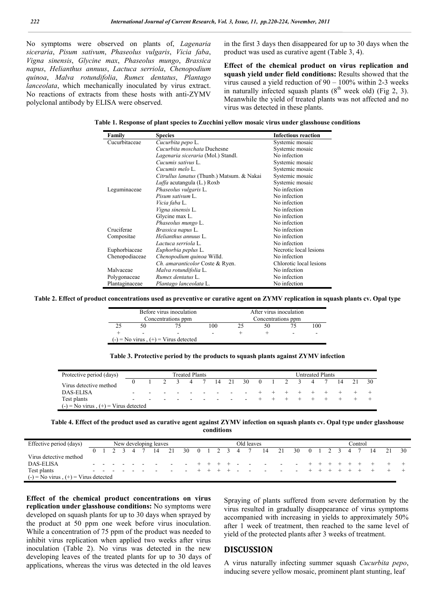No symptoms were observed on plants of, *Lagenaria siceraria*, *Pisum sativum*, *Phaseolus vulgaris*, *Vicia faba*, *Vigna sinensis*, *Glycine max*, *Phaseolus mungo*, *Brassica napus*, *Helianthus annuus*, *Lactuca serriola*, *Chenopodium quinoa*, *Malva rotundifolia*, *Rumex dentatus*, *Plantago lanceolata*, which mechanically inoculated by virus extract. No reactions of extracts from these hosts with anti-ZYMV polyclonal antibody by ELISA were observed.

in the first 3 days then disappeared for up to 30 days when the product was used as curative agent (Table 3, 4).

**Effect of the chemical product on virus replication and squash yield under field conditions:** Results showed that the virus caused a yield reduction of 90 – 100% within 2-3 weeks in naturally infected squash plants  $(8<sup>th</sup>$  week old) (Fig 2, 3). Meanwhile the yield of treated plants was not affected and no virus was detected in these plants.

|  |  |  | Table 1. Response of plant species to Zucchini yellow mosaic virus under glasshouse conditions |  |
|--|--|--|------------------------------------------------------------------------------------------------|--|
|  |  |  |                                                                                                |  |

| Family         | <b>Species</b>                             | <b>Infectious reaction</b> |
|----------------|--------------------------------------------|----------------------------|
| Cucurbitaceae  | Cucurbita pepo L.                          | Systemic mosaic            |
|                | Cucurbita moschata Duchesne                | Systemic mosaic            |
|                | Lagenaria siceraria (Mol.) Standl.         | No infection               |
|                | Cucumis sativus L.                         | Systemic mosaic            |
|                | Cucumis melo L.                            | Systemic mosaic            |
|                | Citrullus lanatus (Thunb.) Matsum. & Nakai | Systemic mosaic            |
|                | Luffa acutangula (L.) Roxb                 | Systemic mosaic            |
| Leguminaceae   | Phaseolus vulgaris L.                      | No infection               |
|                | Pisum sativum L.                           | No infection               |
|                | Vicia faba L.                              | No infection               |
|                | Vigna sinensis L.                          | No infection               |
|                | Glycine max L.                             | No infection               |
|                | Phaseolus mungo L.                         | No infection               |
| Cruciferae     | Brassica napus L.                          | No infection               |
| Compositae     | Helianthus annuus L.                       | No infection               |
|                | Lactuca serriola L.                        | No infection               |
| Euphorbiaceae  | Euphorbia peplus L.                        | Necrotic local lesions     |
| Chenopodiaceae | Chenopodium quinoa Willd.                  | No infection               |
|                | Ch. amaranticolor Coste & Ryen.            | Chlorotic local lesions    |
| Malvaceae      | Malva rotundifolia L.                      | No infection               |
| Polygonaceae   | Rumex dentatus L.                          | No infection               |
| Plantaginaceae | Plantago lanceolata L.                     | No infection               |

**Table 2. Effect of product concentrations used as preventive or curative agent on ZYMV replication in squash plants cv. Opal type**

|                          | Before virus inoculation                | After virus inoculation |                    |    |  |                          |  |  |  |  |  |  |
|--------------------------|-----------------------------------------|-------------------------|--------------------|----|--|--------------------------|--|--|--|--|--|--|
|                          | Concentrations ppm                      |                         | Concentrations ppm |    |  |                          |  |  |  |  |  |  |
| 50                       |                                         | 100                     |                    | 50 |  | 100                      |  |  |  |  |  |  |
| $\overline{\phantom{a}}$ | -                                       |                         |                    |    |  | $\overline{\phantom{a}}$ |  |  |  |  |  |  |
|                          | $(-)$ = No virus $(+)$ = Virus detected |                         |                    |    |  |                          |  |  |  |  |  |  |

**Table 3. Protective period by the products to squash plants against ZYMV infection**

| Protective period (days)                 | <b>Treated Plants</b> |   |                |     |  |  |               |                          |                    |  | <b>Untreated Plants</b> |  |  |   |      |  |    |      |  |
|------------------------------------------|-----------------------|---|----------------|-----|--|--|---------------|--------------------------|--------------------|--|-------------------------|--|--|---|------|--|----|------|--|
| Virus detective method                   |                       |   | $\overline{2}$ | 3 4 |  |  |               |                          | 7 14 21 30 0 1 2 3 |  |                         |  |  | 4 | 7 14 |  | 21 | - 30 |  |
| <b>DAS-ELISA</b>                         | $\sim$                |   |                |     |  |  | $\sim$ $\sim$ |                          | $\sim$             |  |                         |  |  |   |      |  |    |      |  |
| Test plants                              | $\sim$                | - |                |     |  |  |               | $\overline{\phantom{a}}$ | $\sim$             |  |                         |  |  |   |      |  |    |      |  |
| $(-)$ = No virus, $(+)$ = Virus detected |                       |   |                |     |  |  |               |                          |                    |  |                         |  |  |   |      |  |    |      |  |

**Table 4. Effect of the product used as curative agent against ZYMV infection on squash plants cv. Opal type under glasshouse conditions**

| Effective period (days)                  | New developing leaves |  |  |  |  |  |  |  |  | Old leaves |  |  |  |  |  |                                                             |  | `ontrol |  |  |  |  |  |  |  |  |      |
|------------------------------------------|-----------------------|--|--|--|--|--|--|--|--|------------|--|--|--|--|--|-------------------------------------------------------------|--|---------|--|--|--|--|--|--|--|--|------|
|                                          |                       |  |  |  |  |  |  |  |  |            |  |  |  |  |  | 0 1 2 3 4 7 14 21 30 0 1 2 3 4 7 14 21 30 0 1 2 3 4 7 14 21 |  |         |  |  |  |  |  |  |  |  | - 30 |
| Virus detective method                   |                       |  |  |  |  |  |  |  |  |            |  |  |  |  |  |                                                             |  |         |  |  |  |  |  |  |  |  |      |
| <b>DAS-ELISA</b>                         |                       |  |  |  |  |  |  |  |  |            |  |  |  |  |  |                                                             |  |         |  |  |  |  |  |  |  |  |      |
| Test plants                              | $\sim$                |  |  |  |  |  |  |  |  |            |  |  |  |  |  |                                                             |  |         |  |  |  |  |  |  |  |  |      |
| $(-)$ = No virus, $(+)$ = Virus detected |                       |  |  |  |  |  |  |  |  |            |  |  |  |  |  |                                                             |  |         |  |  |  |  |  |  |  |  |      |

**Effect of the chemical product concentrations on virus replication under glasshouse conditions:** No symptoms were developed on squash plants for up to 30 days when sprayed by the product at 50 ppm one week before virus inoculation. While a concentration of 75 ppm of the product was needed to inhibit virus replication when applied two weeks after virus inoculation (Table 2). No virus was detected in the new developing leaves of the treated plants for up to 30 days of applications, whereas the virus was detected in the old leaves

Spraying of plants suffered from severe deformation by the virus resulted in gradually disappearance of virus symptoms accompanied with increasing in yields to approximately 50% after 1 week of treatment, then reached to the same level of yield of the protected plants after 3 weeks of treatment.

## **DISCUSSION**

A virus naturally infecting summer squash *Cucurbita pepo*, inducing severe yellow mosaic, prominent plant stunting, leaf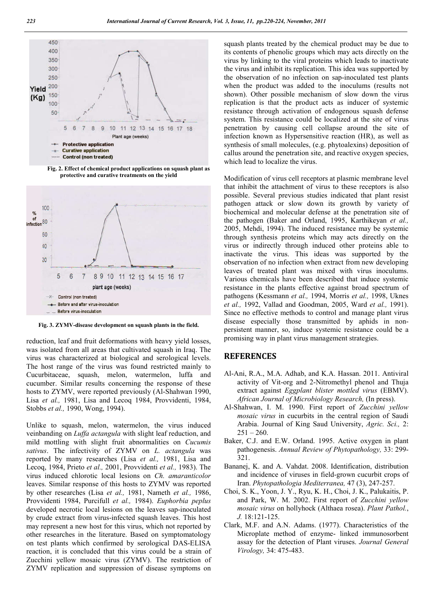

**Fig. 2. Effect of chemical product applications on squash plant as protective and curative treatments on the yield** 



**Fig. 3. ZYMV-disease development on squash plants in the field.**

reduction, leaf and fruit deformations with heavy yield losses, was isolated from all areas that cultivated squash in Iraq. The virus was characterized at biological and serological levels. The host range of the virus was found restricted mainly to Cucurbitaceae, squash, melon, watermelon, luffa and cucumber. Similar results concerning the response of these hosts to ZYMV, were reported previously (Al-Shahwan 1990, Lisa *et al.,* 1981, Lisa and Lecoq 1984, Provvidenti, 1984, Stobbs *et al.,* 1990, Wong, 1994).

Unlike to squash, melon, watermelon, the virus induced veinbanding on *Luffa actangula* with slight leaf reduction, and mild mottling with slight fruit abnormalities on *Cucumis sativus*. The infectivity of ZYMV on *L. actangula* was reported by many researches (Lisa *et al.,* 1981, Lisa and Lecoq, 1984, Prieto *et al.,* 2001, Provvidenti *et al.,* 1983). The virus induced chlorotic local lesions on *Ch. amaranticolor* leaves. Similar response of this hosts to ZYMV was reported by other researches (Lisa *et al.,* 1981, Nameth *et al.,* 1986, Provvidenti 1984, Purcifull *et al.,* 1984). *Euphorbia peplus* developed necrotic local lesions on the leaves sap-inoculated by crude extract from virus-infected squash leaves. This host may represent a new host for this virus, which not reported by other researches in the literature. Based on symptomatology on test plants which confirmed by serological DAS-ELISA reaction, it is concluded that this virus could be a strain of Zucchini yellow mosaic virus (ZYMV). The restriction of ZYMV replication and suppression of disease symptoms on

squash plants treated by the chemical product may be due to its contents of phenolic groups which may acts directly on the virus by linking to the viral proteins which leads to inactivate the virus and inhibit its replication. This idea was supported by the observation of no infection on sap-inoculated test plants when the product was added to the inoculums (results not shown). Other possible mechanism of slow down the virus replication is that the product acts as inducer of systemic resistance through activation of endogenous squash defense system. This resistance could be localized at the site of virus penetration by causing cell collapse around the site of infection known as Hypersensitive reaction (HR), as well as synthesis of small molecules, (e.g. phytoalexins) deposition of callus around the penetration site, and reactive oxygen species, which lead to localize the virus.

Modification of virus cell receptors at plasmic membrane level that inhibit the attachment of virus to these receptors is also possible. Several previous studies indicated that plant resist pathogen attack or slow down its growth by variety of biochemical and molecular defense at the penetration site of the pathogen (Baker and Orland, 1995, Karthikeyan *et al.,* 2005, Mehdi, 1994). The induced resistance may be systemic through synthesis proteins which may acts directly on the virus or indirectly through induced other proteins able to inactivate the virus. This ideas was supported by the observation of no infection when extract from new developing leaves of treated plant was mixed with virus inoculums. Various chemicals have been described that induce systemic resistance in the plants effective against broad spectrum of pathogens (Kessmann *et al.,* 1994, Morris *et al.,* 1998, Uknes *et al.,* 1992, Vallad and Goodman, 2005, Ward *et al.,* 1991). Since no effective methods to control and manage plant virus disease especially those transmitted by aphids in nonpersistent manner, so, induce systemic resistance could be a promising way in plant virus management strategies.

## **REFERENCES**

- Al-Ani, R.A., M.A. Adhab, and K.A. Hassan. 2011. Antiviral activity of Vit-org and 2-Nitromethyl phenol and Thuja extract against *Eggplant blister mottled virus* (EBMV). *African Journal of Microbiology Research,* (In press).
- Al-Shahwan, I. M. 1990. First report of *Zucchini yellow mosaic virus* in cucurbits in the central region of Saudi Arabia. Journal of King Saud University, *Agric. Sci.,* 2:  $251 - 260$ .
- Baker, C.J. and E.W. Orland. 1995. Active oxygen in plant pathogenesis. *Annual Review of Phytopathology,* 33: 299- 321.
- Bananej, K. and A. Vahdat. 2008. Identification, distribution and incidence of viruses in field-grown cucurbit crops of Iran. *Phytopathologia Mediterranea,* 47 (3), 247-257.
- Choi, S. K., Yoon, J. Y., Ryu, K. H., Choi, J. K., Palukaitis, P. and Park, W. M. 2002. First report of *Zucchini yellow mosaic virus* on hollyhock (Althaea rosea). *Plant Pathol.*, *J.* 18:121-125.
- Clark, M.F. and A.N. Adams. (1977). Characteristics of the Microplate method of enzyme- linked immunosorbent assay for the detection of Plant viruses. *Journal General Virology,* 34: 475-483.